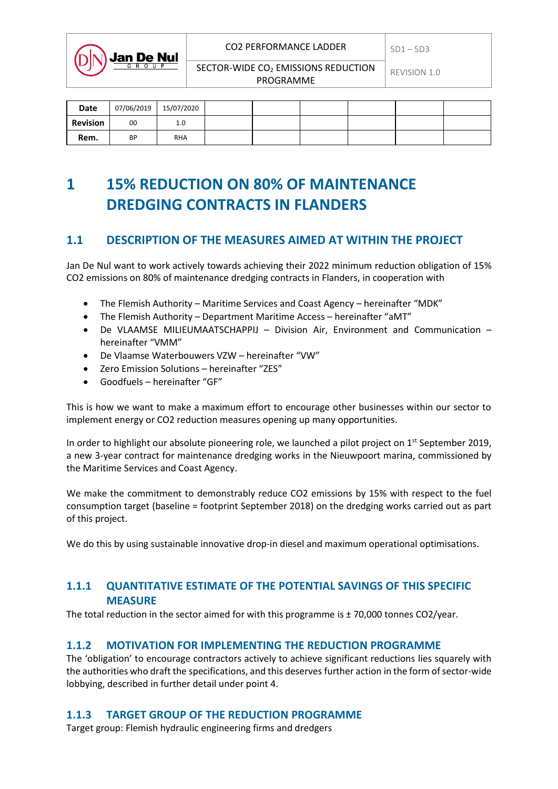SECTOR-WIDE CO<sub>2</sub> EMISSIONS REDUCTION  $\Big|$  REVISION 1.0 PROGRAMME

| Date     | 07/06/2019 | 15/07/2020 |  |  |  |
|----------|------------|------------|--|--|--|
| Revision | 00         | 1.0        |  |  |  |
| Rem.     | <b>BP</b>  | <b>RHA</b> |  |  |  |

# **1 15% REDUCTION ON 80% OF MAINTENANCE DREDGING CONTRACTS IN FLANDERS**

# **1.1 DESCRIPTION OF THE MEASURES AIMED AT WITHIN THE PROJECT**

Jan De Nul want to work actively towards achieving their 2022 minimum reduction obligation of 15% CO2 emissions on 80% of maintenance dredging contracts in Flanders, in cooperation with

- The Flemish Authority Maritime Services and Coast Agency hereinafter "MDK"
- The Flemish Authority Department Maritime Access hereinafter "aMT"
- De VLAAMSE MILIEUMAATSCHAPPIJ Division Air, Environment and Communication hereinafter "VMM"
- De Vlaamse Waterbouwers VZW hereinafter "VW"
- Zero Emission Solutions hereinafter "ZES"
- Goodfuels hereinafter "GF"

**Jan De Nul** 

This is how we want to make a maximum effort to encourage other businesses within our sector to implement energy or CO2 reduction measures opening up many opportunities.

In order to highlight our absolute pioneering role, we launched a pilot project on  $1<sup>st</sup>$  September 2019, a new 3-year contract for maintenance dredging works in the Nieuwpoort marina, commissioned by the Maritime Services and Coast Agency.

We make the commitment to demonstrably reduce CO2 emissions by 15% with respect to the fuel consumption target (baseline = footprint September 2018) on the dredging works carried out as part of this project.

We do this by using sustainable innovative drop-in diesel and maximum operational optimisations.

### **1.1.1 QUANTITATIVE ESTIMATE OF THE POTENTIAL SAVINGS OF THIS SPECIFIC MEASURE**

The total reduction in the sector aimed for with this programme is  $\pm$  70,000 tonnes CO2/year.

#### **1.1.2 MOTIVATION FOR IMPLEMENTING THE REDUCTION PROGRAMME**

The 'obligation' to encourage contractors actively to achieve significant reductions lies squarely with the authorities who draft the specifications, and this deserves further action in the form of sector-wide lobbying, described in further detail under point 4.

### **1.1.3 TARGET GROUP OF THE REDUCTION PROGRAMME**

Target group: Flemish hydraulic engineering firms and dredgers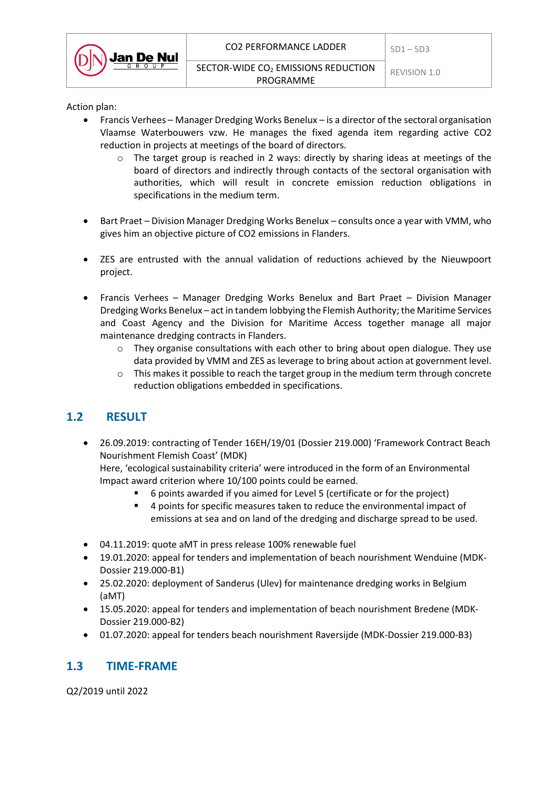

Action plan:

- Francis Verhees Manager Dredging Works Benelux is a director of the sectoral organisation Vlaamse Waterbouwers vzw. He manages the fixed agenda item regarding active CO2 reduction in projects at meetings of the board of directors.
	- $\circ$  The target group is reached in 2 ways: directly by sharing ideas at meetings of the board of directors and indirectly through contacts of the sectoral organisation with authorities, which will result in concrete emission reduction obligations in specifications in the medium term.
- Bart Praet Division Manager Dredging Works Benelux consults once a year with VMM, who gives him an objective picture of CO2 emissions in Flanders.
- ZES are entrusted with the annual validation of reductions achieved by the Nieuwpoort project.
- Francis Verhees Manager Dredging Works Benelux and Bart Praet Division Manager Dredging Works Benelux – act in tandem lobbying the Flemish Authority; the Maritime Services and Coast Agency and the Division for Maritime Access together manage all major maintenance dredging contracts in Flanders.
	- $\circ$  They organise consultations with each other to bring about open dialogue. They use data provided by VMM and ZES as leverage to bring about action at government level.
	- o This makes it possible to reach the target group in the medium term through concrete reduction obligations embedded in specifications.

# **1.2 RESULT**

 26.09.2019: contracting of Tender 16EH/19/01 (Dossier 219.000) 'Framework Contract Beach Nourishment Flemish Coast' (MDK)

Here, 'ecological sustainability criteria' were introduced in the form of an Environmental Impact award criterion where 10/100 points could be earned.

- 6 points awarded if you aimed for Level 5 (certificate or for the project)
- 4 points for specific measures taken to reduce the environmental impact of emissions at sea and on land of the dredging and discharge spread to be used.
- 04.11.2019: quote aMT in press release 100% renewable fuel
- 19.01.2020: appeal for tenders and implementation of beach nourishment Wenduine (MDK-Dossier 219.000-B1)
- 25.02.2020: deployment of Sanderus (Ulev) for maintenance dredging works in Belgium (aMT)
- 15.05.2020: appeal for tenders and implementation of beach nourishment Bredene (MDK-Dossier 219.000-B2)
- 01.07.2020: appeal for tenders beach nourishment Raversijde (MDK-Dossier 219.000-B3)

### **1.3 TIME-FRAME**

Q2/2019 until 2022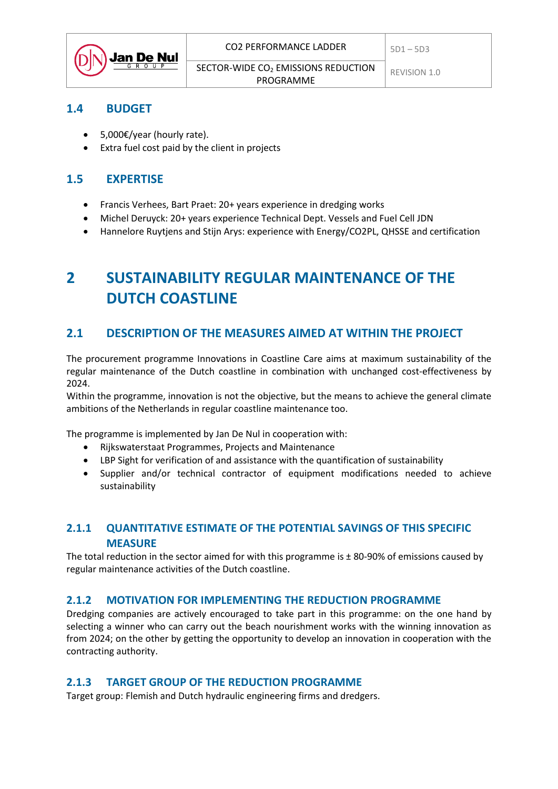| $\left(\bigcap\bigwedge\right)$ Jan De Nul | CO2 PERFORMANCE LADDER                                       | $5D1 - 5D3$  |
|--------------------------------------------|--------------------------------------------------------------|--------------|
|                                            | SECTOR-WIDE CO <sub>2</sub> EMISSIONS REDUCTION<br>PROGRAMME | REVISION 1.0 |

### **1.4 BUDGET**

- 5,000€/year (hourly rate).
- Extra fuel cost paid by the client in projects

### **1.5 EXPERTISE**

- Francis Verhees, Bart Praet: 20+ years experience in dredging works
- Michel Deruyck: 20+ years experience Technical Dept. Vessels and Fuel Cell JDN
- Hannelore Ruytjens and Stijn Arys: experience with Energy/CO2PL, QHSSE and certification

# **2 SUSTAINABILITY REGULAR MAINTENANCE OF THE DUTCH COASTLINE**

### **2.1 DESCRIPTION OF THE MEASURES AIMED AT WITHIN THE PROJECT**

The procurement programme Innovations in Coastline Care aims at maximum sustainability of the regular maintenance of the Dutch coastline in combination with unchanged cost-effectiveness by 2024.

Within the programme, innovation is not the objective, but the means to achieve the general climate ambitions of the Netherlands in regular coastline maintenance too.

The programme is implemented by Jan De Nul in cooperation with:

- Rijkswaterstaat Programmes, Projects and Maintenance
- LBP Sight for verification of and assistance with the quantification of sustainability
- Supplier and/or technical contractor of equipment modifications needed to achieve sustainability

### **2.1.1 QUANTITATIVE ESTIMATE OF THE POTENTIAL SAVINGS OF THIS SPECIFIC MEASURE**

The total reduction in the sector aimed for with this programme is  $\pm$  80-90% of emissions caused by regular maintenance activities of the Dutch coastline.

### **2.1.2 MOTIVATION FOR IMPLEMENTING THE REDUCTION PROGRAMME**

Dredging companies are actively encouraged to take part in this programme: on the one hand by selecting a winner who can carry out the beach nourishment works with the winning innovation as from 2024; on the other by getting the opportunity to develop an innovation in cooperation with the contracting authority.

### **2.1.3 TARGET GROUP OF THE REDUCTION PROGRAMME**

Target group: Flemish and Dutch hydraulic engineering firms and dredgers.